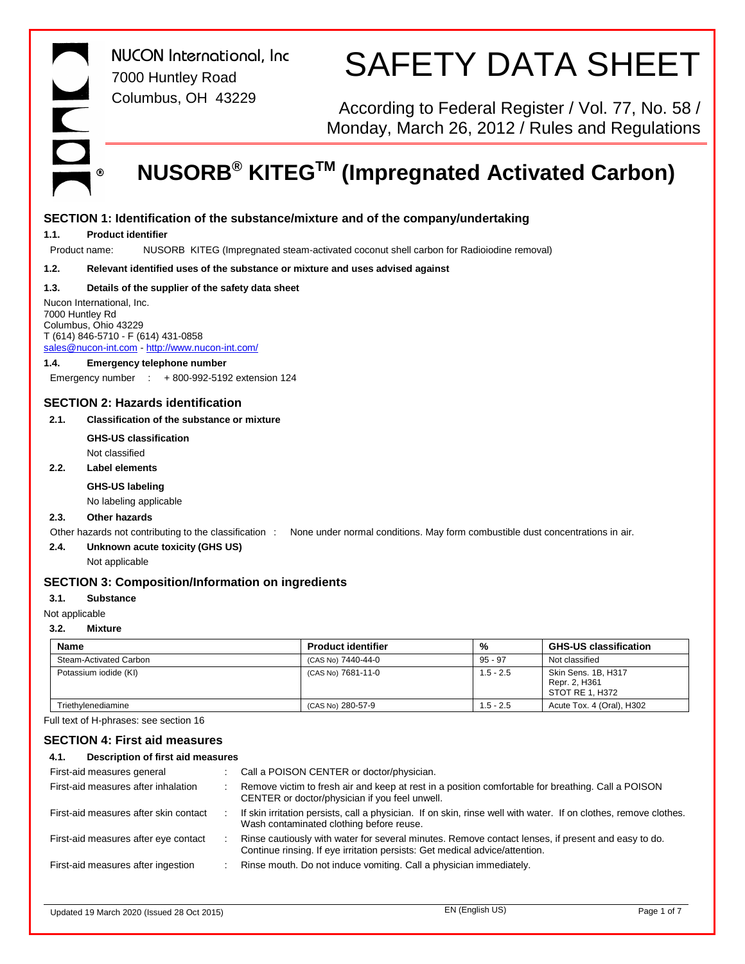*NUCON International, Inc* 7000 Huntley Road Columbus, OH 43229 S

SAFETY DATA SHEET

According to Federal Register / Vol. 77, No. 58 / Monday, March 26, 2012 / Rules and Regulations

## **NUSORB® KITEGTM (Impregnated Activated Carbon)**

| 1.1.         | <b>Product identifier</b>                                                                                                                                    |                                                                                                                                                      |             |                                                         |
|--------------|--------------------------------------------------------------------------------------------------------------------------------------------------------------|------------------------------------------------------------------------------------------------------------------------------------------------------|-------------|---------------------------------------------------------|
|              | Product name:                                                                                                                                                | NUSORB KITEG (Impregnated steam-activated coconut shell carbon for Radioiodine removal)                                                              |             |                                                         |
| 1.2.         |                                                                                                                                                              | Relevant identified uses of the substance or mixture and uses advised against                                                                        |             |                                                         |
| 1.3.         | Details of the supplier of the safety data sheet                                                                                                             |                                                                                                                                                      |             |                                                         |
|              | Nucon International, Inc.<br>7000 Huntley Rd<br>Columbus, Ohio 43229<br>T (614) 846-5710 - F (614) 431-0858<br>sales@nucon-int.com http://www.nucon-int.com/ |                                                                                                                                                      |             |                                                         |
| 1.4.         | <b>Emergency telephone number</b>                                                                                                                            |                                                                                                                                                      |             |                                                         |
|              | Emergency number $\quad$ + 800-992-5192 extension 124                                                                                                        |                                                                                                                                                      |             |                                                         |
|              | <b>SECTION 2: Hazards identification</b>                                                                                                                     |                                                                                                                                                      |             |                                                         |
| 2.1.         | <b>Classification of the substance or mixture</b>                                                                                                            |                                                                                                                                                      |             |                                                         |
|              | <b>GHS-US classification</b>                                                                                                                                 |                                                                                                                                                      |             |                                                         |
|              | Not classified                                                                                                                                               |                                                                                                                                                      |             |                                                         |
| 2.2.         | <b>Label elements</b>                                                                                                                                        |                                                                                                                                                      |             |                                                         |
|              | <b>GHS-US labeling</b>                                                                                                                                       |                                                                                                                                                      |             |                                                         |
|              | No labeling applicable                                                                                                                                       |                                                                                                                                                      |             |                                                         |
| 2.3.         | Other hazards                                                                                                                                                |                                                                                                                                                      |             |                                                         |
|              |                                                                                                                                                              |                                                                                                                                                      |             |                                                         |
|              |                                                                                                                                                              | Other hazards not contributing to the classification : None under normal conditions. May form combustible dust concentrations in air.                |             |                                                         |
| 2.4.         | Unknown acute toxicity (GHS US)                                                                                                                              |                                                                                                                                                      |             |                                                         |
|              | Not applicable                                                                                                                                               |                                                                                                                                                      |             |                                                         |
|              | <b>SECTION 3: Composition/Information on ingredients</b>                                                                                                     |                                                                                                                                                      |             |                                                         |
|              | <b>Substance</b>                                                                                                                                             |                                                                                                                                                      |             |                                                         |
|              | Not applicable                                                                                                                                               |                                                                                                                                                      |             |                                                         |
|              | <b>Mixture</b>                                                                                                                                               |                                                                                                                                                      |             |                                                         |
| <b>Name</b>  |                                                                                                                                                              | <b>Product identifier</b>                                                                                                                            | %           | <b>GHS-US classification</b>                            |
| 3.1.<br>3.2. | Steam-Activated Carbon                                                                                                                                       | (CAS No) 7440-44-0                                                                                                                                   | $95 - 97$   | Not classified                                          |
|              | Potassium iodide (KI)                                                                                                                                        | (CAS No) 7681-11-0                                                                                                                                   | $1.5 - 2.5$ | Skin Sens. 1B, H317<br>Repr. 2, H361<br>STOT RE 1, H372 |
|              | Triethylenediamine                                                                                                                                           | (CAS No) 280-57-9                                                                                                                                    | $1.5 - 2.5$ | Acute Tox. 4 (Oral), H302                               |
|              | Full text of H-phrases: see section 16                                                                                                                       |                                                                                                                                                      |             |                                                         |
|              | <b>SECTION 4: First aid measures</b>                                                                                                                         |                                                                                                                                                      |             |                                                         |
|              | Description of first aid measures                                                                                                                            |                                                                                                                                                      |             |                                                         |
| 4.1.         | First-aid measures general                                                                                                                                   | Call a POISON CENTER or doctor/physician.                                                                                                            |             |                                                         |
|              | First-aid measures after inhalation<br>$\ddot{\phantom{a}}$                                                                                                  | Remove victim to fresh air and keep at rest in a position comfortable for breathing. Call a POISON<br>CENTER or doctor/physician if you feel unwell. |             |                                                         |

First-aid measures after skin contact : If skin irritation persists, call a physician. If on skin, rinse well with water. If on clothes, remove clothes. Wash contaminated clothing before reuse.

First-aid measures after eye contact : Rinse cautiously with water for several minutes. Remove contact lenses, if present and easy to do. Continue rinsing. If eye irritation persists: Get medical advice/attention.

First-aid measures after ingestion : Rinse mouth. Do not induce vomiting. Call a physician immediately.

Updated 19 March 2020 (Issued 28 Oct 2015) EN (English US) Page 1 of 7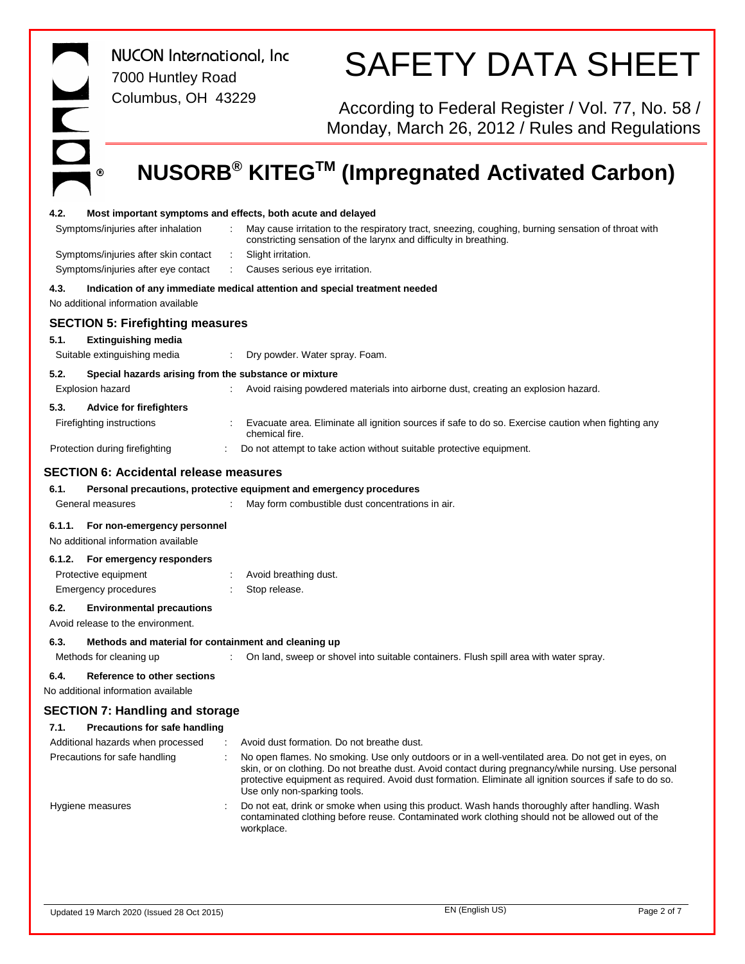ONC  $^\circledR$ 

*NUCON International, Inc* 7000 Huntley Road Columbus, OH 43229

# SAFETY DATA SHEET

According to Federal Register / Vol. 77, No. 58 / Monday, March 26, 2012 / Rules and Regulations

# **NUSORB® KITEGTM (Impregnated Activated Carbon)**

| 4.2.   |                                                                           |        | Most important symptoms and effects, both acute and delayed                                                                                                                                                                                                                                                                                             |
|--------|---------------------------------------------------------------------------|--------|---------------------------------------------------------------------------------------------------------------------------------------------------------------------------------------------------------------------------------------------------------------------------------------------------------------------------------------------------------|
|        | Symptoms/injuries after inhalation                                        |        | May cause irritation to the respiratory tract, sneezing, coughing, burning sensation of throat with<br>constricting sensation of the larynx and difficulty in breathing.                                                                                                                                                                                |
|        | Symptoms/injuries after skin contact                                      | ÷      | Slight irritation.                                                                                                                                                                                                                                                                                                                                      |
|        | Symptoms/injuries after eye contact                                       |        | Causes serious eye irritation.                                                                                                                                                                                                                                                                                                                          |
| 4.3.   |                                                                           |        | Indication of any immediate medical attention and special treatment needed                                                                                                                                                                                                                                                                              |
|        | No additional information available                                       |        |                                                                                                                                                                                                                                                                                                                                                         |
|        | <b>SECTION 5: Firefighting measures</b>                                   |        |                                                                                                                                                                                                                                                                                                                                                         |
| 5.1.   | <b>Extinguishing media</b>                                                |        |                                                                                                                                                                                                                                                                                                                                                         |
|        | Suitable extinguishing media                                              |        | Dry powder. Water spray. Foam.                                                                                                                                                                                                                                                                                                                          |
|        |                                                                           |        |                                                                                                                                                                                                                                                                                                                                                         |
| 5.2.   | Special hazards arising from the substance or mixture<br>Explosion hazard |        | Avoid raising powdered materials into airborne dust, creating an explosion hazard.                                                                                                                                                                                                                                                                      |
|        |                                                                           |        |                                                                                                                                                                                                                                                                                                                                                         |
| 5.3.   | <b>Advice for firefighters</b>                                            |        |                                                                                                                                                                                                                                                                                                                                                         |
|        | Firefighting instructions                                                 |        | Evacuate area. Eliminate all ignition sources if safe to do so. Exercise caution when fighting any<br>chemical fire.                                                                                                                                                                                                                                    |
|        | Protection during firefighting                                            |        | Do not attempt to take action without suitable protective equipment.                                                                                                                                                                                                                                                                                    |
|        | <b>SECTION 6: Accidental release measures</b>                             |        |                                                                                                                                                                                                                                                                                                                                                         |
| 6.1.   |                                                                           |        | Personal precautions, protective equipment and emergency procedures                                                                                                                                                                                                                                                                                     |
|        | General measures                                                          |        | May form combustible dust concentrations in air.                                                                                                                                                                                                                                                                                                        |
|        |                                                                           |        |                                                                                                                                                                                                                                                                                                                                                         |
| 6.1.1. | For non-emergency personnel<br>No additional information available        |        |                                                                                                                                                                                                                                                                                                                                                         |
| 6.1.2. | For emergency responders                                                  |        |                                                                                                                                                                                                                                                                                                                                                         |
|        | Protective equipment                                                      |        | Avoid breathing dust.                                                                                                                                                                                                                                                                                                                                   |
|        | Emergency procedures                                                      |        | Stop release.                                                                                                                                                                                                                                                                                                                                           |
| 6.2.   | <b>Environmental precautions</b>                                          |        |                                                                                                                                                                                                                                                                                                                                                         |
|        | Avoid release to the environment.                                         |        |                                                                                                                                                                                                                                                                                                                                                         |
| 6.3.   | Methods and material for containment and cleaning up                      |        |                                                                                                                                                                                                                                                                                                                                                         |
|        | Methods for cleaning up                                                   |        | On land, sweep or shovel into suitable containers. Flush spill area with water spray.                                                                                                                                                                                                                                                                   |
| 6.4.   | <b>Reference to other sections</b>                                        |        |                                                                                                                                                                                                                                                                                                                                                         |
|        | No additional information available                                       |        |                                                                                                                                                                                                                                                                                                                                                         |
|        | <b>SECTION 7: Handling and storage</b>                                    |        |                                                                                                                                                                                                                                                                                                                                                         |
| 7.1.   | <b>Precautions for safe handling</b>                                      |        |                                                                                                                                                                                                                                                                                                                                                         |
|        | Additional hazards when processed                                         | $\sim$ | Avoid dust formation. Do not breathe dust.                                                                                                                                                                                                                                                                                                              |
|        | Precautions for safe handling                                             |        | No open flames. No smoking. Use only outdoors or in a well-ventilated area. Do not get in eyes, on<br>skin, or on clothing. Do not breathe dust. Avoid contact during pregnancy/while nursing. Use personal<br>protective equipment as required. Avoid dust formation. Eliminate all ignition sources if safe to do so.<br>Use only non-sparking tools. |
|        | Hygiene measures                                                          |        | Do not eat, drink or smoke when using this product. Wash hands thoroughly after handling. Wash<br>contaminated clothing before reuse. Contaminated work clothing should not be allowed out of the<br>workplace.                                                                                                                                         |
|        |                                                                           |        |                                                                                                                                                                                                                                                                                                                                                         |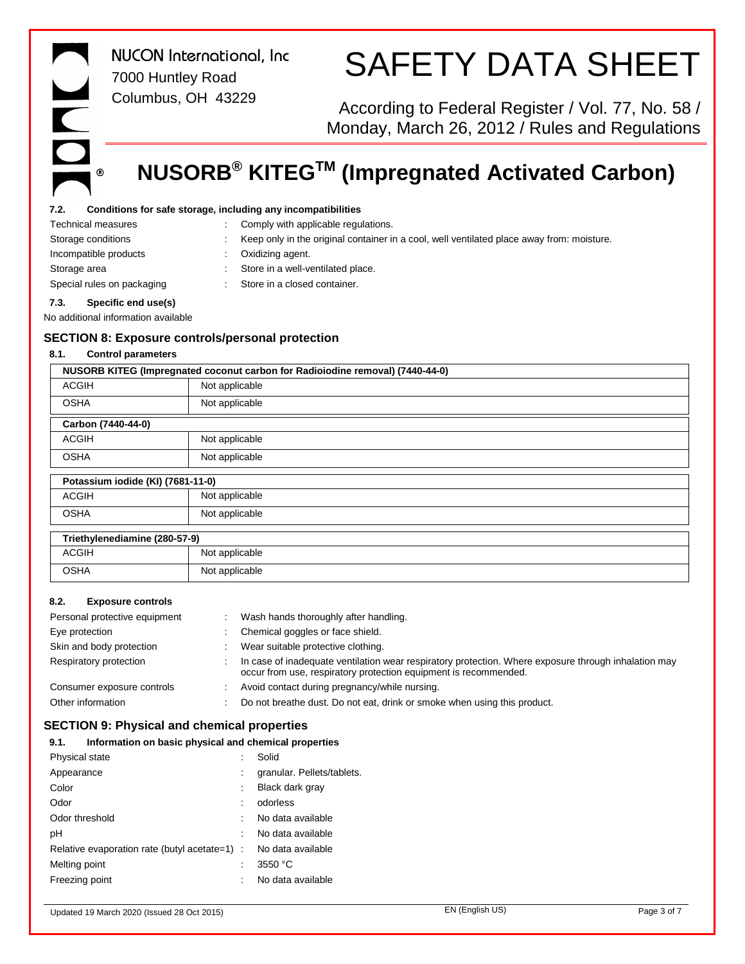$^{\circ}$ 

*NUCON International, Inc* 7000 Huntley Road Columbus, OH 43229

# SAFETY DATA SHEET

According to Federal Register / Vol. 77, No. 58 / Monday, March 26, 2012 / Rules and Regulations

# **NUSORB® KITEGTM (Impregnated Activated Carbon)**

### **7.2. Conditions for safe storage, including any incompatibilities**

| No additional information available |  |                                                                                           |
|-------------------------------------|--|-------------------------------------------------------------------------------------------|
| Specific end use(s)<br>7.3.         |  |                                                                                           |
| Special rules on packaging          |  | Store in a closed container.                                                              |
| Storage area                        |  | Store in a well-ventilated place.                                                         |
| Incompatible products               |  | Oxidizing agent.                                                                          |
| Storage conditions                  |  | Keep only in the original container in a cool, well ventilated place away from: moisture. |
| <b>Technical measures</b>           |  | Comply with applicable regulations.                                                       |
|                                     |  |                                                                                           |

### **SECTION 8: Exposure controls/personal protection**

### **8.1. Control parameters**

| NUSORB KITEG (Impregnated coconut carbon for Radioiodine removal) (7440-44-0) |                    |  |  |  |  |
|-------------------------------------------------------------------------------|--------------------|--|--|--|--|
| <b>ACGIH</b><br>Not applicable                                                |                    |  |  |  |  |
| <b>OSHA</b>                                                                   | Not applicable     |  |  |  |  |
|                                                                               | Carbon (7440-44-0) |  |  |  |  |
| <b>ACGIH</b>                                                                  | Not applicable     |  |  |  |  |
| <b>OSHA</b>                                                                   | Not applicable     |  |  |  |  |
| Potassium iodide (KI) (7681-11-0)                                             |                    |  |  |  |  |
| ACGIH                                                                         | Not applicable     |  |  |  |  |

| Third |             |                |  |  |
|-------|-------------|----------------|--|--|
|       |             |                |  |  |
|       | <b>OSHA</b> | Not applicable |  |  |
|       | ACGIH       | Not applicable |  |  |

| Triethylenediamine (280-57-9) |                |
|-------------------------------|----------------|
| ACGIH                         | Not applicable |

| OSHA | Not applicable |
|------|----------------|
|      |                |

### **8.2. Exposure controls**

| Personal protective equipment | Wash hands thoroughly after handling.                                                                                                                                    |
|-------------------------------|--------------------------------------------------------------------------------------------------------------------------------------------------------------------------|
| Eye protection                | Chemical goggles or face shield.                                                                                                                                         |
| Skin and body protection      | Wear suitable protective clothing.                                                                                                                                       |
| Respiratory protection        | In case of inadequate ventilation wear respiratory protection. Where exposure through inhalation may<br>occur from use, respiratory protection equipment is recommended. |
| Consumer exposure controls    | Avoid contact during pregnancy/while nursing.                                                                                                                            |
| Other information             | Do not breathe dust. Do not eat, drink or smoke when using this product.                                                                                                 |

## **SECTION 9: Physical and chemical properties**

| 9.1.           | Information on basic physical and chemical properties |                            |
|----------------|-------------------------------------------------------|----------------------------|
| Physical state |                                                       | Solid                      |
| Appearance     |                                                       | granular. Pellets/tablets. |
| Color          |                                                       | Black dark gray            |
| Odor           |                                                       | odorless                   |
| Odor threshold |                                                       | No data available          |
| рH             |                                                       | No data available          |
|                | Relative evaporation rate (butyl acetate=1) :         | No data available          |
| Melting point  |                                                       | 3550 °C                    |
| Freezing point |                                                       | No data available          |

## Updated 19 March 2020 (Issued 28 Oct 2015) EN (English US) Page 3 of 7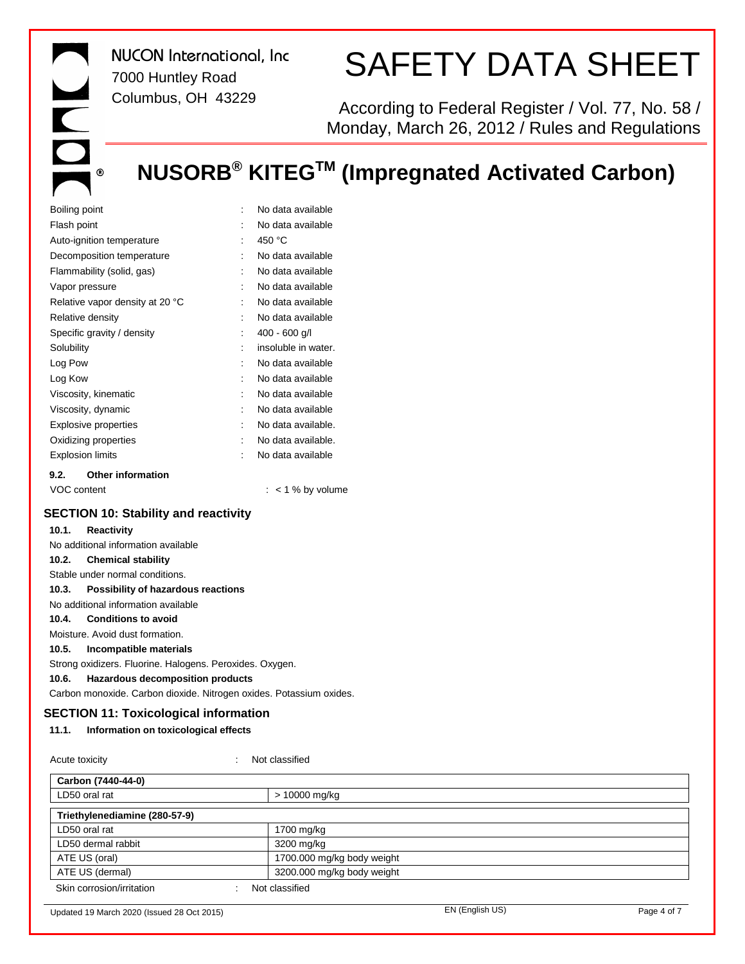$\overline{C}$  $^\circledR$ 

*NUCON International, Inc* 7000 Huntley Road Columbus, OH 43229

# SAFETY DATA SHEET

According to Federal Register / Vol. 77, No. 58 / Monday, March 26, 2012 / Rules and Regulations

# **NUSORB® KITEGTM (Impregnated Activated Carbon)**

| Boiling point                    |                      | No data available   |  |  |
|----------------------------------|----------------------|---------------------|--|--|
| Flash point                      |                      | No data available   |  |  |
| Auto-ignition temperature        | $\ddot{\phantom{a}}$ | 450 °C              |  |  |
| Decomposition temperature        | ۰                    | No data available   |  |  |
| Flammability (solid, gas)        |                      | No data available   |  |  |
| Vapor pressure                   | ۰                    | No data available   |  |  |
| Relative vapor density at 20 °C  | $\ddot{\phantom{a}}$ | No data available   |  |  |
| Relative density                 |                      | No data available   |  |  |
| Specific gravity / density       |                      | $400 - 600$ g/l     |  |  |
| Solubility                       |                      | insoluble in water. |  |  |
| Log Pow                          |                      | No data available   |  |  |
| Log Kow                          |                      | No data available   |  |  |
| Viscosity, kinematic             | ۰                    | No data available   |  |  |
| Viscosity, dynamic               | $\ddot{\phantom{a}}$ | No data available   |  |  |
| <b>Explosive properties</b>      | $\ddot{\phantom{0}}$ | No data available.  |  |  |
| Oxidizing properties             |                      | No data available.  |  |  |
| <b>Explosion limits</b>          |                      | No data available   |  |  |
| <b>Other information</b><br>9.2. |                      |                     |  |  |
| VOC content                      |                      | $:$ < 1 % by volume |  |  |

### **SECTION 10: Stability and reactivity**

| 10.1. | Reactivity                                                          |
|-------|---------------------------------------------------------------------|
|       | No additional information available                                 |
|       | 10.2. Chemical stability                                            |
|       | Stable under normal conditions.                                     |
|       | 10.3. Possibility of hazardous reactions                            |
|       | No additional information available                                 |
|       | 10.4. Conditions to avoid                                           |
|       | Moisture. Avoid dust formation.                                     |
| 10.5. | Incompatible materials                                              |
|       | Strong oxidizers. Fluorine. Halogens. Peroxides. Oxygen.            |
| 10.6. | Hazardous decomposition products                                    |
|       | Carbon monoxide. Carbon dioxide. Nitrogen oxides. Potassium oxides. |
|       |                                                                     |

## **SECTION 11: Toxicological information**

## **11.1. Information on toxicological effects**

## Acute toxicity **in the contract of the Case of the Classified** in Not classified

| Carbon (7440-44-0)                         |                            |                 |             |
|--------------------------------------------|----------------------------|-----------------|-------------|
| LD50 oral rat                              | > 10000 mg/kg              |                 |             |
| Triethylenediamine (280-57-9)              |                            |                 |             |
| LD50 oral rat                              | 1700 mg/kg                 |                 |             |
| LD50 dermal rabbit                         | 3200 mg/kg                 |                 |             |
| ATE US (oral)                              | 1700.000 mg/kg body weight |                 |             |
| ATE US (dermal)                            | 3200.000 mg/kg body weight |                 |             |
| Skin corrosion/irritation                  | Not classified             |                 |             |
| Updated 19 March 2020 (Issued 28 Oct 2015) |                            | EN (English US) | Page 4 of 7 |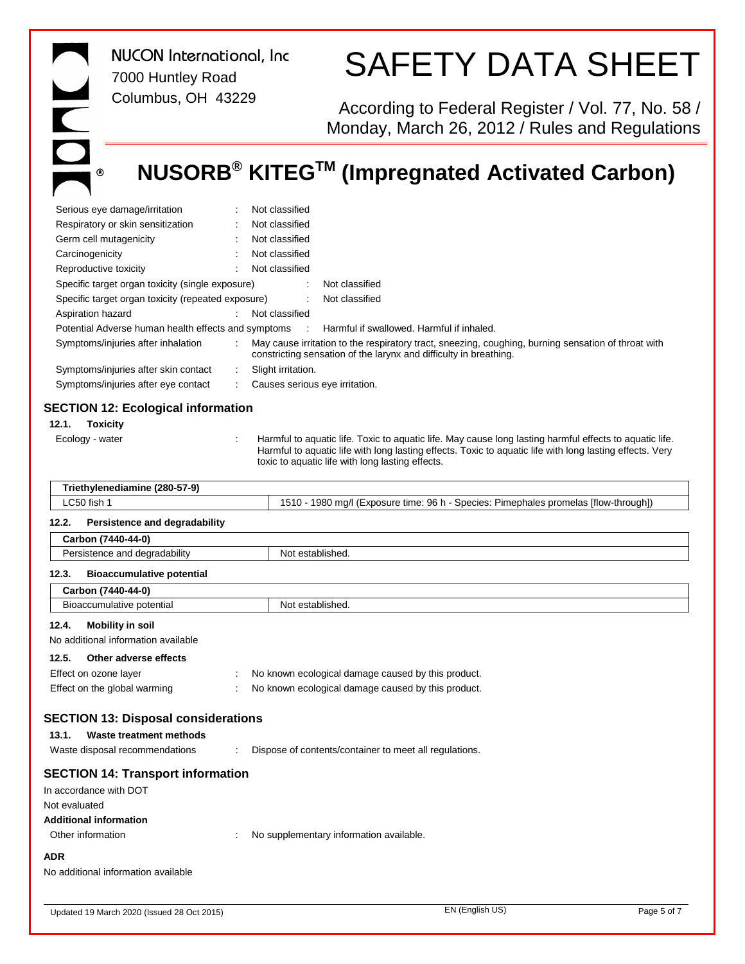ONC.  $^\circledR$ 

*NUCON International, Inc* 7000 Huntley Road Columbus, OH 43229

# SAFETY DATA SHEET

According to Federal Register / Vol. 77, No. 58 / Monday, March 26, 2012 / Rules and Regulations

# **NUSORB® KITEGTM (Impregnated Activated Carbon)**

| Serious eye damage/irritation                                                                                                                                                                                                                                                              |                                                                                                                                                                               | Not classified                                                                       |  |  |  |
|--------------------------------------------------------------------------------------------------------------------------------------------------------------------------------------------------------------------------------------------------------------------------------------------|-------------------------------------------------------------------------------------------------------------------------------------------------------------------------------|--------------------------------------------------------------------------------------|--|--|--|
| Respiratory or skin sensitization                                                                                                                                                                                                                                                          |                                                                                                                                                                               | Not classified                                                                       |  |  |  |
| Germ cell mutagenicity                                                                                                                                                                                                                                                                     |                                                                                                                                                                               | Not classified                                                                       |  |  |  |
| Not classified<br>Carcinogenicity                                                                                                                                                                                                                                                          |                                                                                                                                                                               |                                                                                      |  |  |  |
| Reproductive toxicity                                                                                                                                                                                                                                                                      |                                                                                                                                                                               | Not classified                                                                       |  |  |  |
| Specific target organ toxicity (single exposure)                                                                                                                                                                                                                                           |                                                                                                                                                                               | Not classified                                                                       |  |  |  |
| Specific target organ toxicity (repeated exposure)                                                                                                                                                                                                                                         |                                                                                                                                                                               | Not classified<br>÷                                                                  |  |  |  |
| Aspiration hazard                                                                                                                                                                                                                                                                          |                                                                                                                                                                               | Not classified                                                                       |  |  |  |
| Potential Adverse human health effects and symptoms                                                                                                                                                                                                                                        |                                                                                                                                                                               | Harmful if swallowed. Harmful if inhaled.                                            |  |  |  |
| Symptoms/injuries after inhalation                                                                                                                                                                                                                                                         | May cause irritation to the respiratory tract, sneezing, coughing, burning sensation of throat with<br>÷<br>constricting sensation of the larynx and difficulty in breathing. |                                                                                      |  |  |  |
| Symptoms/injuries after skin contact                                                                                                                                                                                                                                                       |                                                                                                                                                                               | Slight irritation.                                                                   |  |  |  |
| Symptoms/injuries after eye contact                                                                                                                                                                                                                                                        |                                                                                                                                                                               | Causes serious eye irritation.                                                       |  |  |  |
|                                                                                                                                                                                                                                                                                            |                                                                                                                                                                               |                                                                                      |  |  |  |
| <b>SECTION 12: Ecological information</b>                                                                                                                                                                                                                                                  |                                                                                                                                                                               |                                                                                      |  |  |  |
| 12.1.<br><b>Toxicity</b>                                                                                                                                                                                                                                                                   |                                                                                                                                                                               |                                                                                      |  |  |  |
| Harmful to aquatic life. Toxic to aquatic life. May cause long lasting harmful effects to aquatic life.<br>Ecology - water<br>Harmful to aquatic life with long lasting effects. Toxic to aquatic life with long lasting effects. Very<br>toxic to aquatic life with long lasting effects. |                                                                                                                                                                               |                                                                                      |  |  |  |
| Triethylenediamine (280-57-9)                                                                                                                                                                                                                                                              |                                                                                                                                                                               |                                                                                      |  |  |  |
| LC50 fish 1                                                                                                                                                                                                                                                                                |                                                                                                                                                                               | 1510 - 1980 mg/l (Exposure time: 96 h - Species: Pimephales promelas [flow-through]) |  |  |  |
|                                                                                                                                                                                                                                                                                            |                                                                                                                                                                               |                                                                                      |  |  |  |
| 12.2.<br>Persistence and degradability                                                                                                                                                                                                                                                     |                                                                                                                                                                               |                                                                                      |  |  |  |
| Carbon (7440-44-0)                                                                                                                                                                                                                                                                         |                                                                                                                                                                               |                                                                                      |  |  |  |
| Persistence and degradability                                                                                                                                                                                                                                                              |                                                                                                                                                                               | Not established.                                                                     |  |  |  |
| 12.3.<br><b>Bioaccumulative potential</b>                                                                                                                                                                                                                                                  |                                                                                                                                                                               |                                                                                      |  |  |  |
| Carbon (7440-44-0)                                                                                                                                                                                                                                                                         |                                                                                                                                                                               |                                                                                      |  |  |  |
| Bioaccumulative potential                                                                                                                                                                                                                                                                  |                                                                                                                                                                               | Not established.                                                                     |  |  |  |
| 12.4.<br><b>Mobility in soil</b>                                                                                                                                                                                                                                                           |                                                                                                                                                                               |                                                                                      |  |  |  |
| No additional information available                                                                                                                                                                                                                                                        |                                                                                                                                                                               |                                                                                      |  |  |  |
|                                                                                                                                                                                                                                                                                            |                                                                                                                                                                               |                                                                                      |  |  |  |
| 12.5.<br>Other adverse effects                                                                                                                                                                                                                                                             |                                                                                                                                                                               |                                                                                      |  |  |  |
| Effect on ozone layer                                                                                                                                                                                                                                                                      |                                                                                                                                                                               | No known ecological damage caused by this product.                                   |  |  |  |
|                                                                                                                                                                                                                                                                                            | No known ecological damage caused by this product.<br>Effect on the global warming                                                                                            |                                                                                      |  |  |  |
| <b>SECTION 13: Disposal considerations</b>                                                                                                                                                                                                                                                 |                                                                                                                                                                               |                                                                                      |  |  |  |
| Waste treatment methods<br>13.1.                                                                                                                                                                                                                                                           |                                                                                                                                                                               |                                                                                      |  |  |  |
| Waste disposal recommendations                                                                                                                                                                                                                                                             |                                                                                                                                                                               | Dispose of contents/container to meet all regulations.                               |  |  |  |
| <b>SECTION 14: Transport information</b><br>In accordance with DOT                                                                                                                                                                                                                         |                                                                                                                                                                               |                                                                                      |  |  |  |
| Not evaluated                                                                                                                                                                                                                                                                              |                                                                                                                                                                               |                                                                                      |  |  |  |
| <b>Additional information</b>                                                                                                                                                                                                                                                              |                                                                                                                                                                               |                                                                                      |  |  |  |
| Other information                                                                                                                                                                                                                                                                          |                                                                                                                                                                               | No supplementary information available.                                              |  |  |  |
|                                                                                                                                                                                                                                                                                            |                                                                                                                                                                               |                                                                                      |  |  |  |
| ADR<br>No additional information available                                                                                                                                                                                                                                                 |                                                                                                                                                                               |                                                                                      |  |  |  |
|                                                                                                                                                                                                                                                                                            |                                                                                                                                                                               |                                                                                      |  |  |  |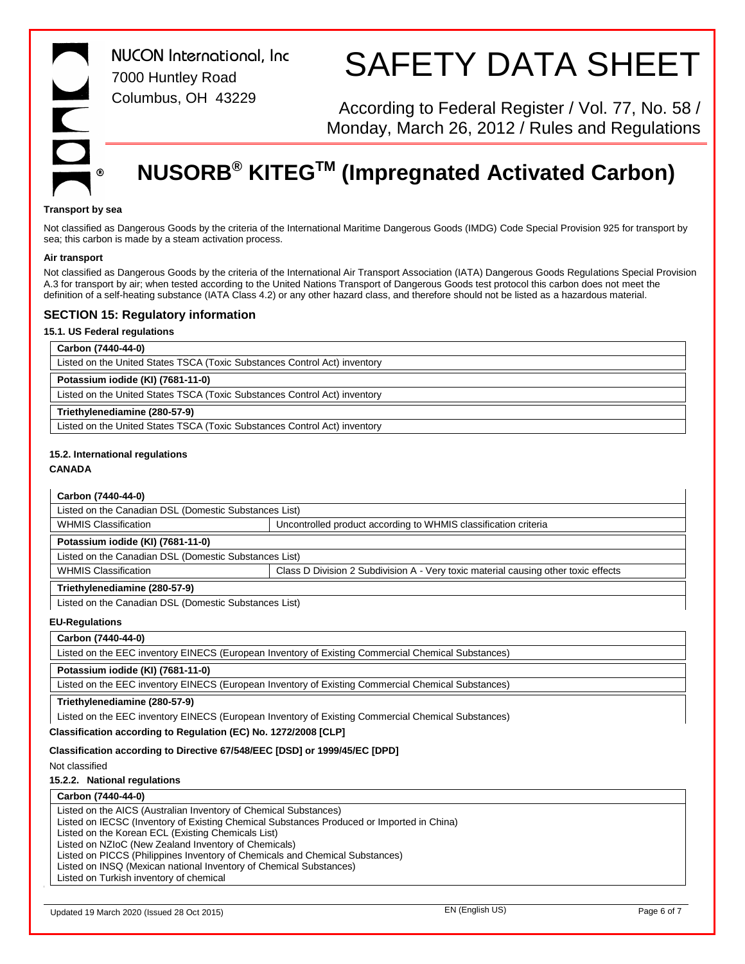*NUCON International, Inc* 7000 Huntley Road Columbus, OH 43229

# SAFETY DATA SHEET

According to Federal Register / Vol. 77, No. 58 / Monday, March 26, 2012 / Rules and Regulations

# **NUSORB® KITEGTM (Impregnated Activated Carbon)**

#### **Transport by sea**

Not classified as Dangerous Goods by the criteria of the International Maritime Dangerous Goods (IMDG) Code Special Provision 925 for transport by sea; this carbon is made by a steam activation process.

#### **Air transport**

Not classified as Dangerous Goods by the criteria of the International Air Transport Association (IATA) Dangerous Goods Regulations Special Provision A.3 for transport by air; when tested according to the United Nations Transport of Dangerous Goods test protocol this carbon does not meet the definition of a self-heating substance (IATA Class 4.2) or any other hazard class, and therefore should not be listed as a hazardous material.

### **SECTION 15: Regulatory information**

### **15.1. US Federal regulations**

| Carbon (7440-44-0)                                                        |  |  |  |
|---------------------------------------------------------------------------|--|--|--|
| Listed on the United States TSCA (Toxic Substances Control Act) inventory |  |  |  |
| Potassium iodide (KI) (7681-11-0)                                         |  |  |  |
| Listed on the United States TSCA (Toxic Substances Control Act) inventory |  |  |  |
| Triethylenediamine (280-57-9)                                             |  |  |  |
| Listed on the United States TSCA (Toxic Substances Control Act) inventory |  |  |  |

#### **15.2. International regulations**

#### **CANADA**

| Carbon (7440-44-0)                                                           |                                                                                                    |             |
|------------------------------------------------------------------------------|----------------------------------------------------------------------------------------------------|-------------|
| Listed on the Canadian DSL (Domestic Substances List)                        |                                                                                                    |             |
| <b>WHMIS Classification</b>                                                  | Uncontrolled product according to WHMIS classification criteria                                    |             |
| Potassium iodide (KI) (7681-11-0)                                            |                                                                                                    |             |
| Listed on the Canadian DSL (Domestic Substances List)                        |                                                                                                    |             |
| <b>WHMIS Classification</b>                                                  | Class D Division 2 Subdivision A - Very toxic material causing other toxic effects                 |             |
| Triethylenediamine (280-57-9)                                                |                                                                                                    |             |
| Listed on the Canadian DSL (Domestic Substances List)                        |                                                                                                    |             |
| <b>EU-Regulations</b>                                                        |                                                                                                    |             |
| Carbon (7440-44-0)                                                           |                                                                                                    |             |
|                                                                              | Listed on the EEC inventory EINECS (European Inventory of Existing Commercial Chemical Substances) |             |
| Potassium iodide (KI) (7681-11-0)                                            |                                                                                                    |             |
|                                                                              | Listed on the EEC inventory EINECS (European Inventory of Existing Commercial Chemical Substances) |             |
| Triethylenediamine (280-57-9)                                                |                                                                                                    |             |
|                                                                              | Listed on the EEC inventory EINECS (European Inventory of Existing Commercial Chemical Substances) |             |
| Classification according to Regulation (EC) No. 1272/2008 [CLP]              |                                                                                                    |             |
| Classification according to Directive 67/548/EEC [DSD] or 1999/45/EC [DPD]   |                                                                                                    |             |
| Not classified                                                               |                                                                                                    |             |
| 15.2.2. National regulations                                                 |                                                                                                    |             |
| Carbon (7440-44-0)                                                           |                                                                                                    |             |
| Listed on the AICS (Australian Inventory of Chemical Substances)             |                                                                                                    |             |
| Listed on the Korean ECL (Existing Chemicals List)                           | Listed on IECSC (Inventory of Existing Chemical Substances Produced or Imported in China)          |             |
| Listed on NZIoC (New Zealand Inventory of Chemicals)                         |                                                                                                    |             |
| Listed on PICCS (Philippines Inventory of Chemicals and Chemical Substances) |                                                                                                    |             |
| Listed on INSQ (Mexican national Inventory of Chemical Substances)           |                                                                                                    |             |
| Listed on Turkish inventory of chemical                                      |                                                                                                    |             |
|                                                                              |                                                                                                    |             |
| Updated 19 March 2020 (Issued 28 Oct 2015)                                   | EN (English US)                                                                                    | Page 6 of 7 |